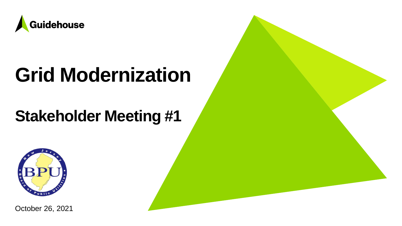

# **Grid Modernization**

## **Stakeholder Meeting #1**



October 26, 2021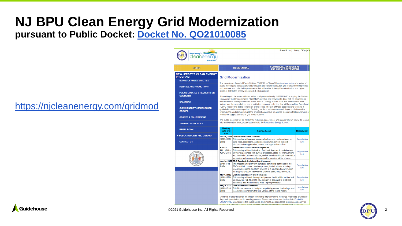### **NJ BPU Clean Energy Grid Modernization**

**pursuant to Public Docket: [Docket No. QO21010085](https://publicaccess.bpu.state.nj.us/CaseSummary.aspx?case_id=2109704)**

#### <https://njcleanenergy.com/gridmod>

| New Jersey's<br>cleanenergu<br>program                            |                                                                                                                                                                                                                                                                                                                                                                                                                                                                                                                                                                                                                                                                                                                                                                                                 |                                                                                                                                                                                                                                                                                                                                       | Press Room   Library   FAQs   Ca                      |                             |
|-------------------------------------------------------------------|-------------------------------------------------------------------------------------------------------------------------------------------------------------------------------------------------------------------------------------------------------------------------------------------------------------------------------------------------------------------------------------------------------------------------------------------------------------------------------------------------------------------------------------------------------------------------------------------------------------------------------------------------------------------------------------------------------------------------------------------------------------------------------------------------|---------------------------------------------------------------------------------------------------------------------------------------------------------------------------------------------------------------------------------------------------------------------------------------------------------------------------------------|-------------------------------------------------------|-----------------------------|
| <b>HOME</b>                                                       |                                                                                                                                                                                                                                                                                                                                                                                                                                                                                                                                                                                                                                                                                                                                                                                                 | <b>RESIDENTIAL</b>                                                                                                                                                                                                                                                                                                                    | <b>COMMERCIAL, INDUSTRIAL</b><br>AND LOCAL GOVERNMENT |                             |
| <b>NEW JERSEY'S CLEAN ENERGY</b><br><b>PROGRAM</b>                | <b>Grid Modernization</b>                                                                                                                                                                                                                                                                                                                                                                                                                                                                                                                                                                                                                                                                                                                                                                       |                                                                                                                                                                                                                                                                                                                                       |                                                       |                             |
| <b>BOARD OF PUBLIC UTILITIES</b><br><b>REBATES AND PROMOTIONS</b> | The New Jersey Board of Public Utilities ("NJBPU" or "Board") hereby gives notice of a series of<br>public meetings to collect stakeholder input on the current distribution grid interconnection policies<br>and process, and potential improvements that will enable faster grid modernization and higher<br>levels of distributed energy resource (DER) absorption.<br>All meetings in the series will start with a brief presentation by NJBPU Staff recapping the State of<br>New Jersey Grid Modernization ("GridMod") initiative and activities to date, with an emphasis on<br>their relation to strategies outlined in the 2019 NJ Energy Master Plan. The sessions will then<br>feature specific presentations and a facilitated comment collection that will be used in a formalized |                                                                                                                                                                                                                                                                                                                                       |                                                       |                             |
| <b>POLICY UPDATES &amp; REQUEST FOR</b><br><b>COMMENTS</b>        |                                                                                                                                                                                                                                                                                                                                                                                                                                                                                                                                                                                                                                                                                                                                                                                                 |                                                                                                                                                                                                                                                                                                                                       |                                                       |                             |
| <b>CALENDAR</b>                                                   |                                                                                                                                                                                                                                                                                                                                                                                                                                                                                                                                                                                                                                                                                                                                                                                                 |                                                                                                                                                                                                                                                                                                                                       |                                                       |                             |
| <b>CLEAN ENERGY STAKEHOLDER</b><br><b>GROUPS</b>                  | NJBPU Proceeding at the conclusion of the series. The aim of these sessions is to facilitate a<br>guided discussion on recognition of existing barriers, estimate economic impacts of alternative<br>reform paths, and ultimately build the broadest consensus on aligned measures that can remove or                                                                                                                                                                                                                                                                                                                                                                                                                                                                                           |                                                                                                                                                                                                                                                                                                                                       |                                                       |                             |
| <b>GRANTS &amp; SOLICITATIONS</b>                                 | reduce the biggest barriers to grid modernization.<br>The public meetings will be held at the following dates, times, and manner shown below. To receive<br>information on this topic, please subscribe to the Renewable Energy listsery.                                                                                                                                                                                                                                                                                                                                                                                                                                                                                                                                                       |                                                                                                                                                                                                                                                                                                                                       |                                                       |                             |
| <b>TRAINING RESOURCES</b><br><b>PRESS ROOM</b>                    | <b>Meeting</b>                                                                                                                                                                                                                                                                                                                                                                                                                                                                                                                                                                                                                                                                                                                                                                                  |                                                                                                                                                                                                                                                                                                                                       |                                                       |                             |
|                                                                   | Date and                                                                                                                                                                                                                                                                                                                                                                                                                                                                                                                                                                                                                                                                                                                                                                                        | <b>Agenda Focus</b>                                                                                                                                                                                                                                                                                                                   |                                                       | Registration                |
| PUBLIC REPORTS AND LIBRARY<br><b>CONTACT US</b>                   | Time<br>(9AM-12PM<br>EDT)                                                                                                                                                                                                                                                                                                                                                                                                                                                                                                                                                                                                                                                                                                                                                                       | Oct 26, 2021 Grid Modernization Context<br>This meeting will present research findings and best practices on<br>state rules, regulations, and processes which govern the grid<br>interconnection application, review, and approval workflow.                                                                                          |                                                       | <b>Registration</b><br>Link |
|                                                                   | <b>Nov 16,</b><br>2021 (9AM-<br>12PM EST)                                                                                                                                                                                                                                                                                                                                                                                                                                                                                                                                                                                                                                                                                                                                                       | <b>Stakeholder Data/Comment Ingestion</b><br>This meeting will facilitate direct feedback from public stakeholders<br>on their experiences with current processes, ideas for improvement<br>and innovation, success stories, and other relevant input. Information<br>on signing up for commenting during the meeting will be shared. |                                                       | Registration<br>Link        |
|                                                                   | (9AM-1PM<br>EST)                                                                                                                                                                                                                                                                                                                                                                                                                                                                                                                                                                                                                                                                                                                                                                                | Jan 14, 2022 EDC Readout -Collaborative Alignment<br>This meeting will open with summary comments from each of the<br>EDCs on their current baseline process, historical data from key<br>research questions, and then proceed to a structured conversation<br>on any priority topics raised from previous stakeholder sessions.      |                                                       | <b>Registration</b><br>Link |
|                                                                   | Mar 1, 2022<br>(9AM-12PM<br>EST)                                                                                                                                                                                                                                                                                                                                                                                                                                                                                                                                                                                                                                                                                                                                                                | <b>Draft Report Review and Comment</b><br>This meeting will walk through and present the Draft Report that will<br>be issued on Feb 18, 2022. The session is designed to elicit last<br>comments that will inform the Final Report production.                                                                                        |                                                       | Registration<br>Link        |
|                                                                   | (9AM-10:30)<br>EDT)                                                                                                                                                                                                                                                                                                                                                                                                                                                                                                                                                                                                                                                                                                                                                                             | May 2, 2022 Final Report Presentation<br>This 90 min. session is designed to publicly present the findings and<br>recommendations from the final version of the formal report.                                                                                                                                                        |                                                       | Registration<br>Link        |





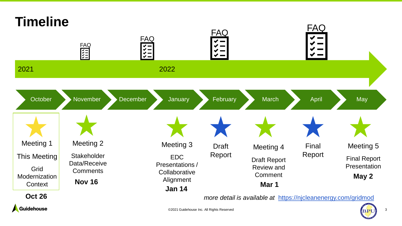

Guidehouse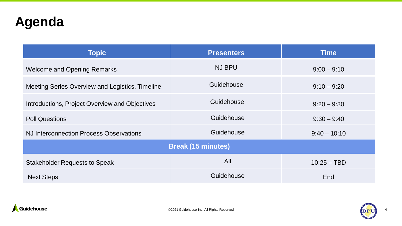### **Agenda**

| <b>Topic</b>                                    | <b>Presenters</b> | <b>Time</b>    |  |  |
|-------------------------------------------------|-------------------|----------------|--|--|
| <b>Welcome and Opening Remarks</b>              | <b>NJ BPU</b>     | $9:00 - 9:10$  |  |  |
| Meeting Series Overview and Logistics, Timeline | Guidehouse        | $9:10 - 9:20$  |  |  |
| Introductions, Project Overview and Objectives  | Guidehouse        | $9:20 - 9:30$  |  |  |
| <b>Poll Questions</b>                           | Guidehouse        | $9:30 - 9:40$  |  |  |
| NJ Interconnection Process Observations         | Guidehouse        | $9:40 - 10:10$ |  |  |
| <b>Break (15 minutes)</b>                       |                   |                |  |  |
| <b>Stakeholder Requests to Speak</b>            | All               | $10:25 - TBD$  |  |  |
| <b>Next Steps</b>                               | Guidehouse        | End            |  |  |

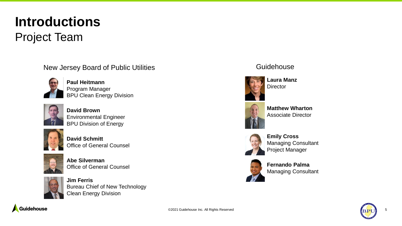## **Introductions**

Project Team



**Paul Heitmann** Program Manager BPU Clean Energy Division



**David Brown** Environmental Engineer BPU Division of Energy



**David Schmitt** Office of General Counsel



**Abe Silverman**  Office of General Counsel



**Jim Ferris** Bureau Chief of New Technology Clean Energy Division

#### New Jersey Board of Public Utilities **Source Accord Cuidehouse** Guidehouse



**Laura Manz Director** 



**Matthew Wharton**  Associate Director



**Emily Cross** Managing Consultant Project Manager



**Fernando Palma** Managing Consultant



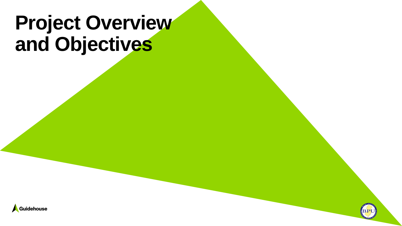## **Project Overview and Objectives**



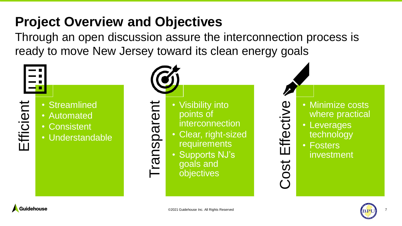### **Project Overview and Objectives**

Through an open discussion assure the interconnection process is ready to move New Jersey toward its clean energy goals





where practical

technology

investment

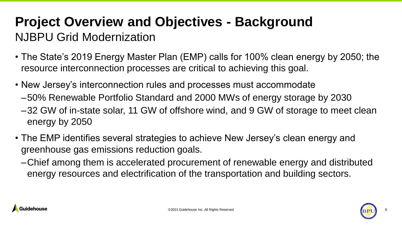### **Project Overview and Objectives - Background** NJBPU Grid Modernization

- The State's 2019 Energy Master Plan (EMP) calls for 100% clean energy by 2050; the resource interconnection processes are critical to achieving this goal.
- New Jersey's interconnection rules and processes must accommodate
	- –50% Renewable Portfolio Standard and 2000 MWs of energy storage by 2030
	- –32 GW of in-state solar, 11 GW of offshore wind, and 9 GW of storage to meet clean energy by 2050
- The EMP identifies several strategies to achieve New Jersey's clean energy and greenhouse gas emissions reduction goals.
	- –Chief among them is accelerated procurement of renewable energy and distributed energy resources and electrification of the transportation and building sectors.

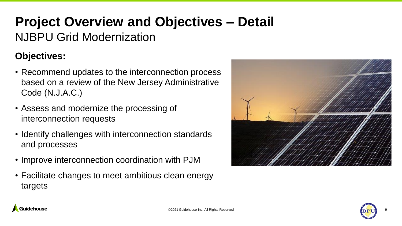### **Project Overview and Objectives – Detail**  NJBPU Grid Modernization

#### **Objectives:**

- Recommend updates to the interconnection process based on a review of the New Jersey Administrative Code (N.J.A.C.)
- Assess and modernize the processing of interconnection requests
- Identify challenges with interconnection standards and processes
- Improve interconnection coordination with PJM
- Facilitate changes to meet ambitious clean energy targets





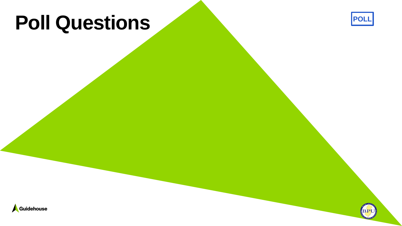## **Poll Questions**





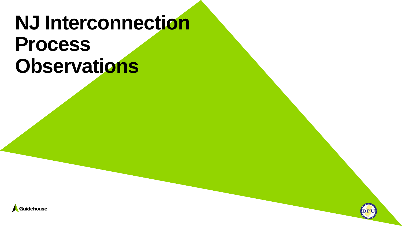

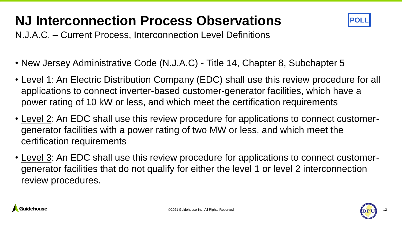

N.J.A.C. – Current Process, Interconnection Level Definitions

- New Jersey Administrative Code (N.J.A.C) Title 14, Chapter 8, Subchapter 5
- Level 1: An Electric Distribution Company (EDC) shall use this review procedure for all applications to connect inverter-based customer-generator facilities, which have a power rating of 10 kW or less, and which meet the certification requirements
- Level 2: An EDC shall use this review procedure for applications to connect customergenerator facilities with a power rating of two MW or less, and which meet the certification requirements
- Level 3: An EDC shall use this review procedure for applications to connect customergenerator facilities that do not qualify for either the level 1 or level 2 interconnection review procedures.



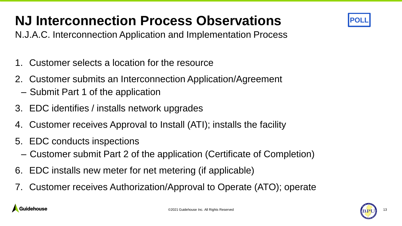

N.J.A.C. Interconnection Application and Implementation Process

- 1. Customer selects a location for the resource
- 2. Customer submits an Interconnection Application/Agreement
	- Submit Part 1 of the application
- 3. EDC identifies / installs network upgrades
- 4. Customer receives Approval to Install (ATI); installs the facility
- 5. EDC conducts inspections
	- Customer submit Part 2 of the application (Certificate of Completion)
- 6. EDC installs new meter for net metering (if applicable)
- 7. Customer receives Authorization/Approval to Operate (ATO); operate



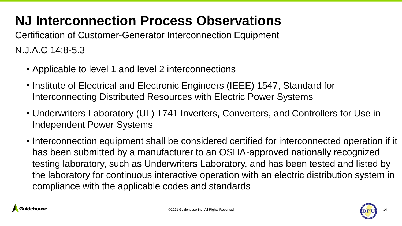Certification of Customer-Generator Interconnection Equipment N.J.A.C 14:8-5.3

- Applicable to level 1 and level 2 interconnections
- Institute of Electrical and Electronic Engineers (IEEE) 1547, Standard for Interconnecting Distributed Resources with Electric Power Systems
- Underwriters Laboratory (UL) 1741 Inverters, Converters, and Controllers for Use in Independent Power Systems
- Interconnection equipment shall be considered certified for interconnected operation if it has been submitted by a manufacturer to an OSHA-approved nationally recognized testing laboratory, such as Underwriters Laboratory, and has been tested and listed by the laboratory for continuous interactive operation with an electric distribution system in compliance with the applicable codes and standards



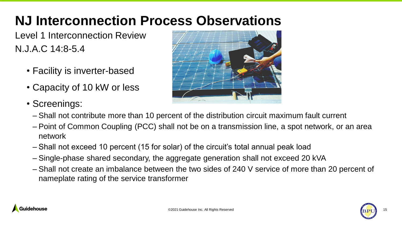Level 1 Interconnection Review N.J.A.C 14:8-5.4

- Facility is inverter-based
- Capacity of 10 kW or less
- Screenings:



- Shall not contribute more than 10 percent of the distribution circuit maximum fault current
- Point of Common Coupling (PCC) shall not be on a transmission line, a spot network, or an area network
- Shall not exceed 10 percent (15 for solar) of the circuit's total annual peak load
- Single-phase shared secondary, the aggregate generation shall not exceed 20 kVA
- Shall not create an imbalance between the two sides of 240 V service of more than 20 percent of nameplate rating of the service transformer



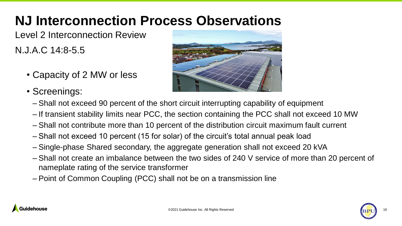Level 2 Interconnection Review N.J.A.C 14:8-5.5

- Capacity of 2 MW or less
- Screenings:



- Shall not exceed 90 percent of the short circuit interrupting capability of equipment
- If transient stability limits near PCC, the section containing the PCC shall not exceed 10 MW
- Shall not contribute more than 10 percent of the distribution circuit maximum fault current
- Shall not exceed 10 percent (15 for solar) of the circuit's total annual peak load
- Single-phase Shared secondary, the aggregate generation shall not exceed 20 kVA
- Shall not create an imbalance between the two sides of 240 V service of more than 20 percent of nameplate rating of the service transformer
- Point of Common Coupling (PCC) shall not be on a transmission line



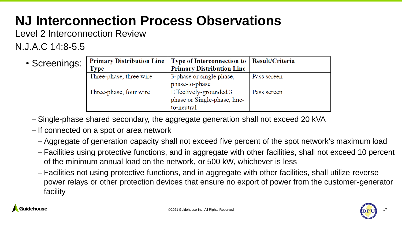Level 2 Interconnection Review

### N.J.A.C 14:8-5.5

| • Screenings: |                         | <b>Primary Distribution Line   Type of Interconnection to   Result/Criteria</b> |             |
|---------------|-------------------------|---------------------------------------------------------------------------------|-------------|
|               | Type                    | <b>Primary Distribution Line</b>                                                |             |
|               | Three-phase, three wire | 3-phase or single phase,                                                        | Pass screen |
|               |                         | phase-to-phase                                                                  |             |
|               | Three-phase, four wire  | Effectively-grounded 3                                                          | Pass screen |
|               |                         | phase or Single-phase, line-                                                    |             |
|               |                         | to-neutral                                                                      |             |

- Single-phase shared secondary, the aggregate generation shall not exceed 20 kVA
- If connected on a spot or area network
	- Aggregate of generation capacity shall not exceed five percent of the spot network's maximum load
	- Facilities using protective functions, and in aggregate with other facilities, shall not exceed 10 percent of the minimum annual load on the network, or 500 kW, whichever is less
	- Facilities not using protective functions, and in aggregate with other facilities, shall utilize reverse power relays or other protection devices that ensure no export of power from the customer-generator facility



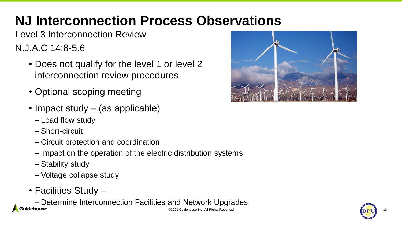Level 3 Interconnection Review

N.J.A.C 14:8-5.6

- Does not qualify for the level 1 or level 2 interconnection review procedures
- Optional scoping meeting
- Impact study (as applicable)
	- Load flow study
	- Short-circuit
	- Circuit protection and coordination
	- Impact on the operation of the electric distribution systems
	- Stability study
	- Voltage collapse study
- Facilities Study –

©2021 Guidehouse Inc. All Rights Reserved – Determine Interconnection Facilities and Network Upgrades<br>
Guidehouse Inc. All Rights Reserved



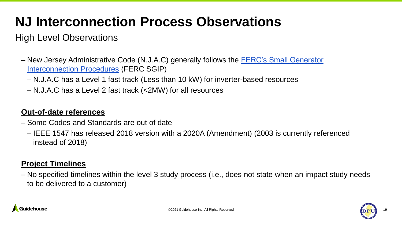### High Level Observations

- New Jersey Administrative Code (N.J.A.C) generally follows the **FERC's Small Generator** Interconnection Procedures (FERC SGIP)
	- N.J.A.C has a Level 1 fast track (Less than 10 kW) for inverter-based resources
	- N.J.A.C has a Level 2 fast track (<2MW) for all resources

#### **Out-of-date references**

- Some Codes and Standards are out of date
	- IEEE 1547 has released 2018 version with a 2020A (Amendment) (2003 is currently referenced instead of 2018)

#### **Project Timelines**

– No specified timelines within the level 3 study process (i.e., does not state when an impact study needs to be delivered to a customer)

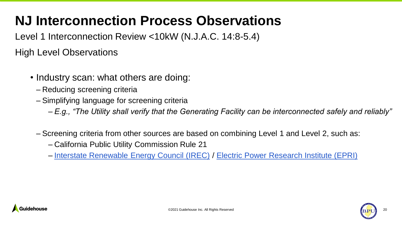Level 1 Interconnection Review <10kW (N.J.A.C. 14:8-5.4)

High Level Observations

- Industry scan: what others are doing:
	- Reducing screening criteria
	- Simplifying language for screening criteria
		- *E.g., "The Utility shall verify that the Generating Facility can be interconnected safely and reliably"*
	- Screening criteria from other sources are based on combining Level 1 and Level 2, such as:
		- California Public Utility Commission Rule 21
		- [Interstate Renewable Energy Council \(IREC\)](https://irecusa.org/our-work/connecting-to-the-grid/) / [Electric Power Research Institute \(EPRI\)](https://www.epri.com/)



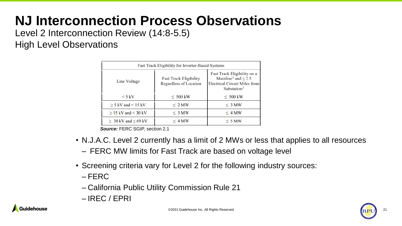Level 2 Interconnection Review (14:8-5.5)

High Level Observations

| Fast Track Eligibility for Inverter-Based Systems |                                                                |                                                                                                                                        |  |  |
|---------------------------------------------------|----------------------------------------------------------------|----------------------------------------------------------------------------------------------------------------------------------------|--|--|
| Line Voltage                                      | <b>Fast Track Eligibility</b><br><b>Regardless of Location</b> | Fast Track Eligibility on a<br>Mainline <sup>1</sup> and $\leq$ 2.5<br><b>Electrical Circuit Miles from</b><br>Substation <sup>2</sup> |  |  |
| $\rm < 5~kV$                                      | $\leq 500$ kW                                                  | $\leq 500$ kW                                                                                                                          |  |  |
| $\geq$ 5 kV and < 15 kV                           | $\leq 2$ MW                                                    | $\leq$ 3 MW                                                                                                                            |  |  |
| $\geq$ 15 kV and < 30 kV                          | $\leq 3$ MW                                                    | $\leq$ 4 MW                                                                                                                            |  |  |
| $\geq 30$ kV and $\leq 69$ kV                     | $\leq 4$ MW                                                    | $\leq 5$ MW                                                                                                                            |  |  |

*Source:* FERC SGIP, section 2.1

- N.J.A.C. Level 2 currently has a limit of 2 MWs or less that applies to all resources
	- FERC MW limits for Fast Track are based on voltage level
- Screening criteria vary for Level 2 for the following industry sources:
	- FERC
	- California Public Utility Commission Rule 21
	- IREC / EPRI



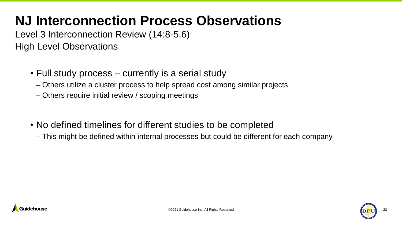Level 3 Interconnection Review (14:8-5.6) High Level Observations

- Full study process currently is a serial study
	- Others utilize a cluster process to help spread cost among similar projects
	- Others require initial review / scoping meetings
- No defined timelines for different studies to be completed
	- This might be defined within internal processes but could be different for each company



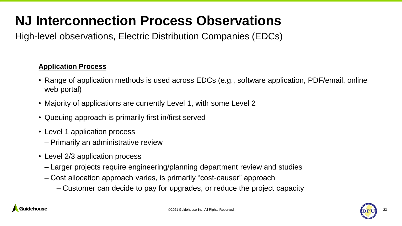High-level observations, Electric Distribution Companies (EDCs)

#### **Application Process**

- Range of application methods is used across EDCs (e.g., software application, PDF/email, online web portal)
- Majority of applications are currently Level 1, with some Level 2
- Queuing approach is primarily first in/first served
- Level 1 application process
	- Primarily an administrative review
- Level 2/3 application process
	- Larger projects require engineering/planning department review and studies
	- Cost allocation approach varies, is primarily "cost-causer" approach
		- Customer can decide to pay for upgrades, or reduce the project capacity



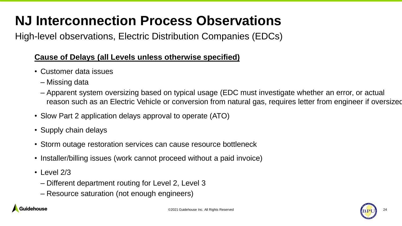High-level observations, Electric Distribution Companies (EDCs)

#### **Cause of Delays (all Levels unless otherwise specified)**

- Customer data issues
	- Missing data
	- Apparent system oversizing based on typical usage (EDC must investigate whether an error, or actual reason such as an Electric Vehicle or conversion from natural gas, requires letter from engineer if oversized
- Slow Part 2 application delays approval to operate (ATO)
- Supply chain delays
- Storm outage restoration services can cause resource bottleneck
- Installer/billing issues (work cannot proceed without a paid invoice)
- Level 2/3
	- Different department routing for Level 2, Level 3
	- Resource saturation (not enough engineers)



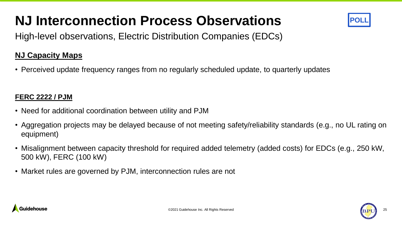

High-level observations, Electric Distribution Companies (EDCs)

#### **NJ Capacity Maps**

• Perceived update frequency ranges from no regularly scheduled update, to quarterly updates

#### **FERC 2222 / PJM**

- Need for additional coordination between utility and PJM
- Aggregation projects may be delayed because of not meeting safety/reliability standards (e.g., no UL rating on equipment)
- Misalignment between capacity threshold for required added telemetry (added costs) for EDCs (e.g., 250 kW, 500 kW), FERC (100 kW)
- Market rules are governed by PJM, interconnection rules are not



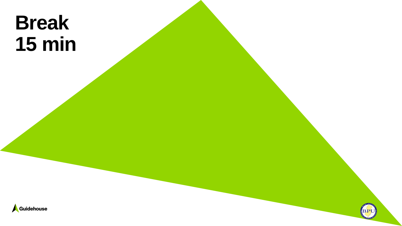



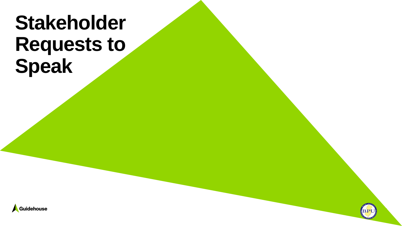## **Stakeholder Requests to Speak**



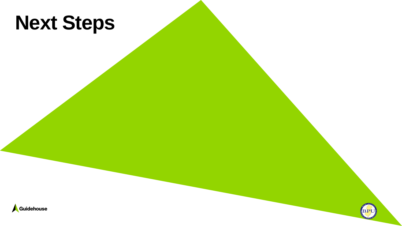## **Next Steps**



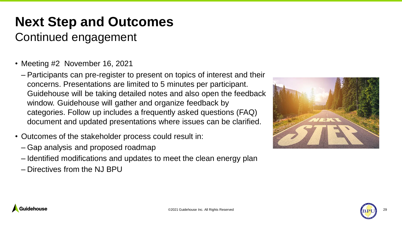### **Next Step and Outcomes**

### Continued engagement

- Meeting #2 November 16, 2021
	- Participants can pre-register to present on topics of interest and their concerns. Presentations are limited to 5 minutes per participant. Guidehouse will be taking detailed notes and also open the feedback window. Guidehouse will gather and organize feedback by categories. Follow up includes a frequently asked questions (FAQ) document and updated presentations where issues can be clarified.
- Outcomes of the stakeholder process could result in:
	- Gap analysis and proposed roadmap
	- Identified modifications and updates to meet the clean energy plan
	- Directives from the NJ BPU





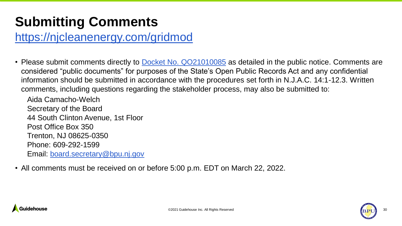### **Submitting Comments**

<https://njcleanenergy.com/gridmod>

• Please submit comments directly to **[Docket No. QO21010085](https://publicaccess.bpu.state.nj.us/CaseSummary.aspx?case_id=2109704)** as detailed in the public notice. Comments are considered "public documents" for purposes of the State's Open Public Records Act and any confidential information should be submitted in accordance with the procedures set forth in N.J.A.C. 14:1-12.3. Written comments, including questions regarding the stakeholder process, may also be submitted to:

Aida Camacho-Welch Secretary of the Board 44 South Clinton Avenue, 1st Floor Post Office Box 350 Trenton, NJ 08625-0350 Phone: 609-292-1599 Email: [board.secretary@bpu.nj.gov](mailto:board.secretary@bpu.nj.gov)

• All comments must be received on or before 5:00 p.m. EDT on March 22, 2022.



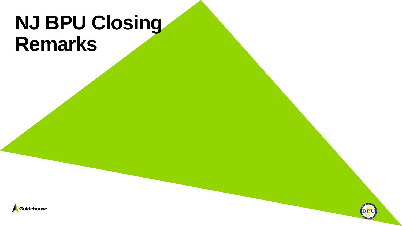## **NJ BPU Closing Remarks**